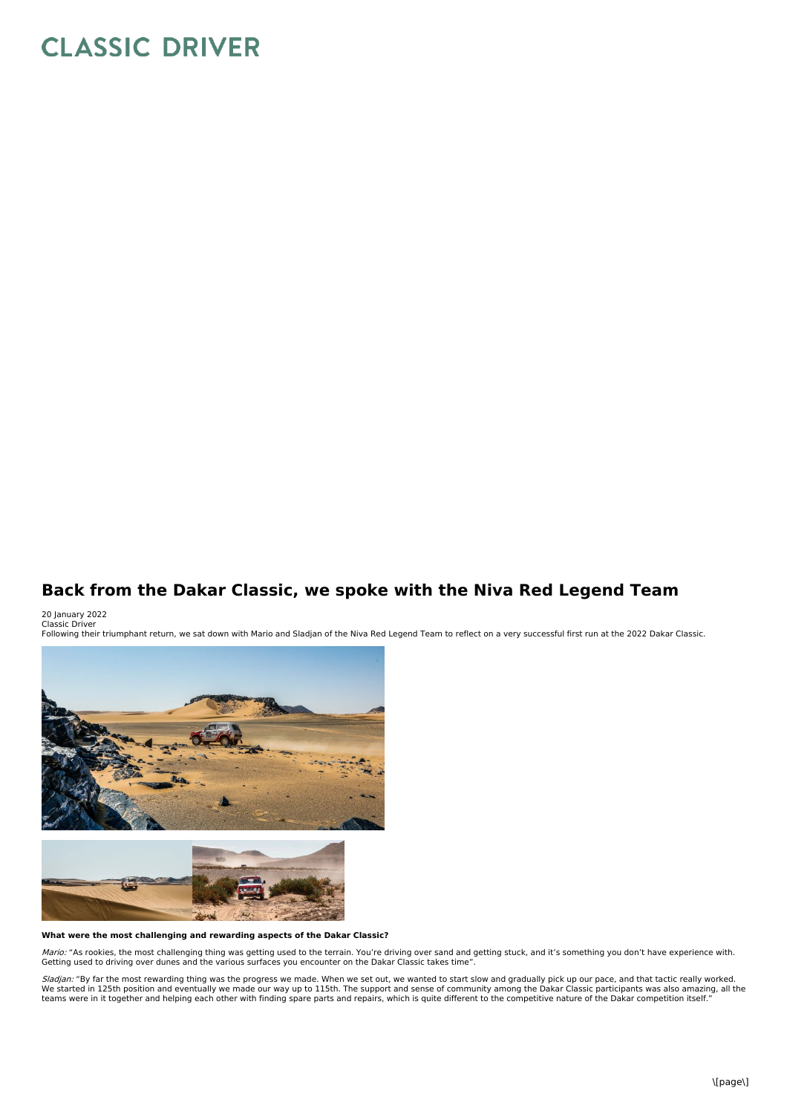# **CLASSIC DRIVER**

## **Back from the Dakar Classic, we spoke with the Niva Red Legend Team**

20 January 2022 Classic Driver

Following their triumphant return, we sat down with Mario and Sladjan of the Niva Red Legend Team to reflect on a very successful first run at the 2022 Dakar Classic.



### **What were the most challenging and rewarding aspects of the Dakar Classic?**

*Mario:* "As rookies, the most challenging thing was getting used to the terrain. You're driving over sand and getting stuck, and it's something you don't have experience with.<br>Getting used to driving over dunes and the va

*Sladjan:* "By far the most rewarding thing was the progress we made. When we set out, we wanted to start slow and gradually pick up our pace, and that tactic really worked.<br>We started in 125th position and eventually we m